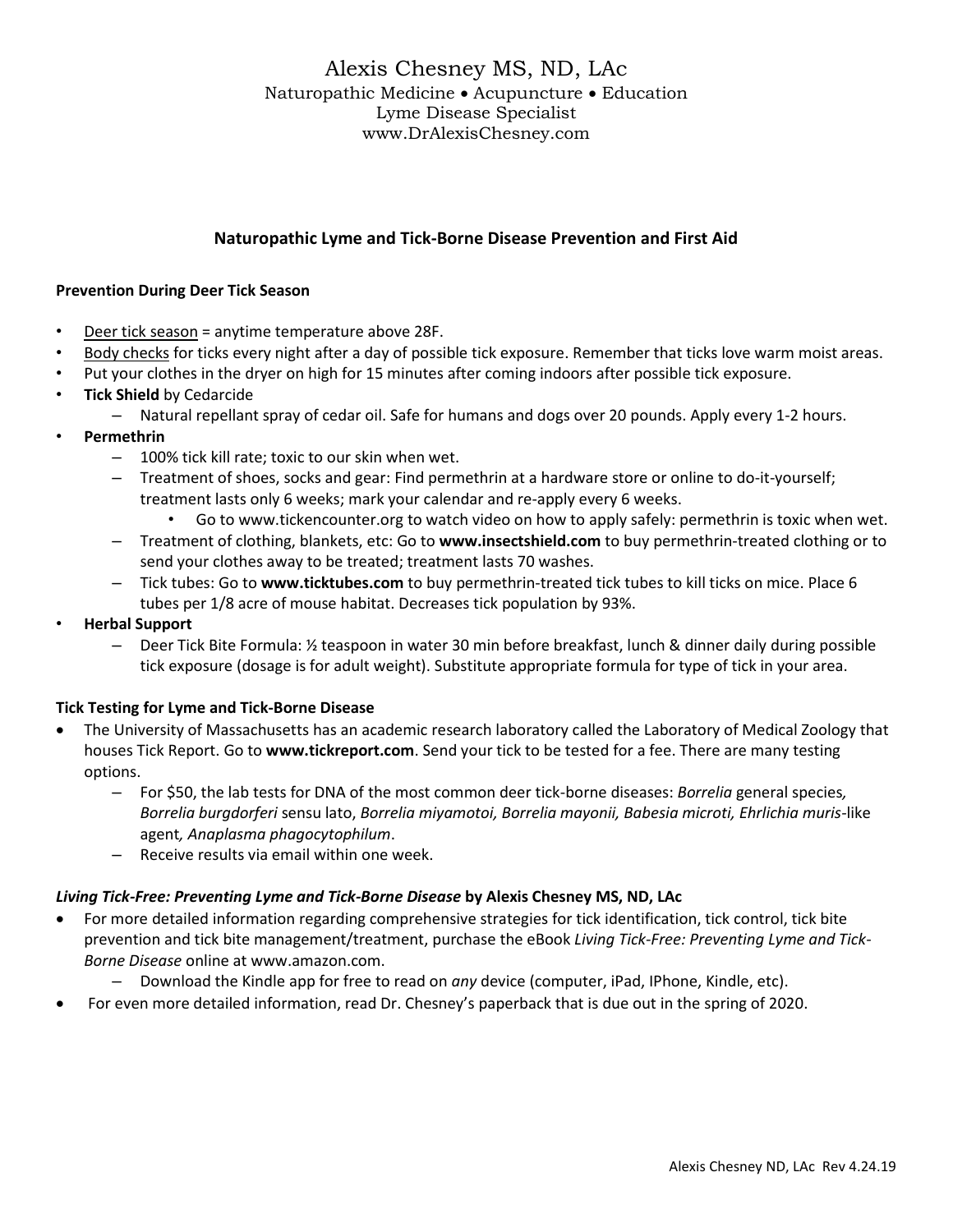# Alexis Chesney MS, ND, LAc Naturopathic Medicine • Acupuncture • Education Lyme Disease Specialist www.DrAlexisChesney.com

## **Naturopathic Lyme and Tick-Borne Disease Prevention and First Aid**

### **Prevention During Deer Tick Season**

- Deer tick season = anytime temperature above 28F.
- Body checks for ticks every night after a day of possible tick exposure. Remember that ticks love warm moist areas.
- Put your clothes in the dryer on high for 15 minutes after coming indoors after possible tick exposure.
- **Tick Shield** by Cedarcide
	- Natural repellant spray of cedar oil. Safe for humans and dogs over 20 pounds. Apply every 1-2 hours.
- **Permethrin**
	- 100% tick kill rate; toxic to our skin when wet.
	- Treatment of shoes, socks and gear: Find permethrin at a hardware store or online to do-it-yourself; treatment lasts only 6 weeks; mark your calendar and re-apply every 6 weeks.
		- Go to [www.tickencounter.org](http://www.tickencounter.org/) to watch video on how to apply safely: permethrin is toxic when wet.
	- Treatment of clothing, blankets, etc: Go to **[www.insectshield.com](http://www.insectshield.com/)** to buy permethrin-treated clothing or to send your clothes away to be treated; treatment lasts 70 washes.
	- Tick tubes: Go to **[www.ticktubes.com](http://www.ticktubes.com/)** to buy permethrin-treated tick tubes to kill ticks on mice. Place 6 tubes per 1/8 acre of mouse habitat. Decreases tick population by 93%.
- **Herbal Support**
	- Deer Tick Bite Formula: ½ teaspoon in water 30 min before breakfast, lunch & dinner daily during possible tick exposure (dosage is for adult weight). Substitute appropriate formula for type of tick in your area.

### **Tick Testing for Lyme and Tick-Borne Disease**

- The University of Massachusetts has an academic research laboratory called the Laboratory of Medical Zoology that houses Tick Report. Go to **[www.tickreport.com](http://www.tickreport.com/)**. Send your tick to be tested for a fee. There are many testing options.
	- For \$50, the lab tests for DNA of the most common deer tick-borne diseases: *Borrelia* general species*, Borrelia burgdorferi* sensu lato, *Borrelia miyamotoi, Borrelia mayonii, Babesia microti, Ehrlichia muris-*like agent*, Anaplasma phagocytophilum*.
	- Receive results via email within one week.

### *Living Tick-Free: Preventing Lyme and Tick-Borne Disease* **by Alexis Chesney MS, ND, LAc**

- For more detailed information regarding comprehensive strategies for tick identification, tick control, tick bite prevention and tick bite management/treatment, purchase the eBook *Living Tick-Free: Preventing Lyme and Tick-Borne Disease* online at [www.amazon.com.](http://www.amazon.com/)
	- Download the Kindle app for free to read on *any* device (computer, iPad, IPhone, Kindle, etc).
- For even more detailed information, read Dr. Chesney's paperback that is due out in the spring of 2020.